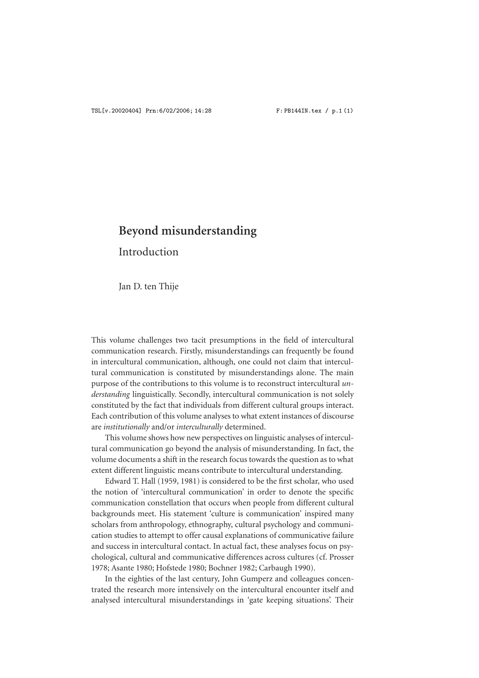## **Beyond misunderstanding**

Introduction

Jan D. ten Thije

This volume challenges two tacit presumptions in the field of intercultural communication research. Firstly, misunderstandings can frequently be found in intercultural communication, although, one could not claim that intercultural communication is constituted by misunderstandings alone. The main purpose of the contributions to this volume is to reconstruct intercultural *understanding* linguistically. Secondly, intercultural communication is not solely constituted by the fact that individuals from different cultural groups interact. Each contribution of this volume analyses to what extent instances of discourse are *institutionally* and/or *interculturally* determined.

This volume shows how new perspectives on linguistic analyses of intercultural communication go beyond the analysis of misunderstanding. In fact, the volume documents a shift in the research focus towards the question as to what extent different linguistic means contribute to intercultural understanding.

Edward T. Hall (1959, 1981) is considered to be the first scholar, who used the notion of 'intercultural communication' in order to denote the specific communication constellation that occurs when people from different cultural backgrounds meet. His statement 'culture is communication' inspired many scholars from anthropology, ethnography, cultural psychology and communication studies to attempt to offer causal explanations of communicative failure and success in intercultural contact. In actual fact, these analyses focus on psychological, cultural and communicative differences across cultures (cf. Prosser 1978; Asante 1980; Hofstede 1980; Bochner 1982; Carbaugh 1990).

In the eighties of the last century, John Gumperz and colleagues concentrated the research more intensively on the intercultural encounter itself and analysed intercultural misunderstandings in 'gate keeping situations'. Their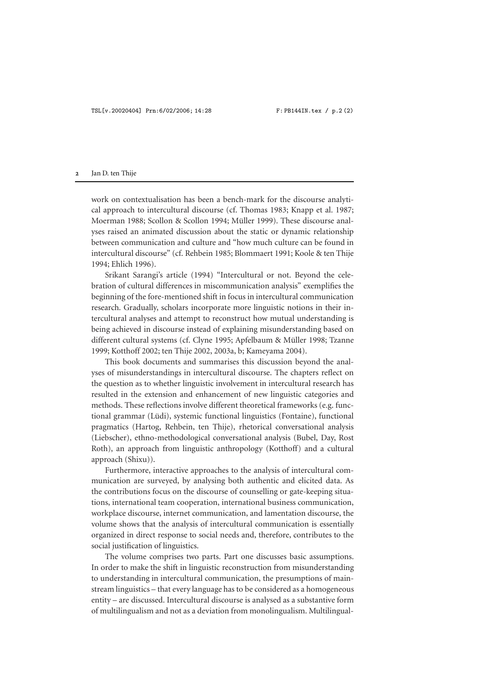work on contextualisation has been a bench-mark for the discourse analytical approach to intercultural discourse (cf. Thomas 1983; Knapp et al. 1987; Moerman 1988; Scollon & Scollon 1994; Müller 1999). These discourse analyses raised an animated discussion about the static or dynamic relationship between communication and culture and "how much culture can be found in intercultural discourse" (cf. Rehbein 1985; Blommaert 1991; Koole & ten Thije 1994; Ehlich 1996).

Srikant Sarangi's article (1994) "Intercultural or not. Beyond the celebration of cultural differences in miscommunication analysis" exemplifies the beginning of the fore-mentioned shift in focus in intercultural communication research. Gradually, scholars incorporate more linguistic notions in their intercultural analyses and attempt to reconstruct how mutual understanding is being achieved in discourse instead of explaining misunderstanding based on different cultural systems (cf. Clyne 1995; Apfelbaum & Müller 1998; Tzanne 1999; Kotthoff 2002; ten Thije 2002, 2003a, b; Kameyama 2004).

This book documents and summarises this discussion beyond the analyses of misunderstandings in intercultural discourse. The chapters reflect on the question as to whether linguistic involvement in intercultural research has resulted in the extension and enhancement of new linguistic categories and methods. These reflections involve different theoretical frameworks (e.g. functional grammar (Lüdi), systemic functional linguistics (Fontaine), functional pragmatics (Hartog, Rehbein, ten Thije), rhetorical conversational analysis (Liebscher), ethno-methodological conversational analysis (Bubel, Day, Rost Roth), an approach from linguistic anthropology (Kotthoff) and a cultural approach (Shixu)).

Furthermore, interactive approaches to the analysis of intercultural communication are surveyed, by analysing both authentic and elicited data. As the contributions focus on the discourse of counselling or gate-keeping situations, international team cooperation, international business communication, workplace discourse, internet communication, and lamentation discourse, the volume shows that the analysis of intercultural communication is essentially organized in direct response to social needs and, therefore, contributes to the social justification of linguistics.

The volume comprises two parts. Part one discusses basic assumptions. In order to make the shift in linguistic reconstruction from misunderstanding to understanding in intercultural communication, the presumptions of mainstream linguistics – that every language has to be considered as a homogeneous entity – are discussed. Intercultural discourse is analysed as a substantive form of multilingualism and not as a deviation from monolingualism. Multilingual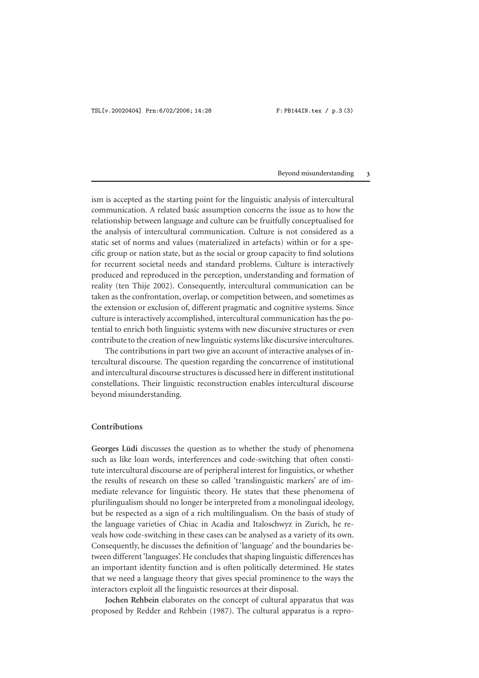ism is accepted as the starting point for the linguistic analysis of intercultural communication. A related basic assumption concerns the issue as to how the relationship between language and culture can be fruitfully conceptualised for the analysis of intercultural communication. Culture is not considered as a static set of norms and values (materialized in artefacts) within or for a specific group or nation state, but as the social or group capacity to find solutions for recurrent societal needs and standard problems. Culture is interactively produced and reproduced in the perception, understanding and formation of reality (ten Thije 2002). Consequently, intercultural communication can be taken as the confrontation, overlap, or competition between, and sometimes as the extension or exclusion of, different pragmatic and cognitive systems. Since culture is interactively accomplished, intercultural communication has the potential to enrich both linguistic systems with new discursive structures or even contribute to the creation of new linguistic systems like discursive intercultures.

The contributions in part two give an account of interactive analyses of intercultural discourse. The question regarding the concurrence of institutional and intercultural discourse structures is discussed here in different institutional constellations. Their linguistic reconstruction enables intercultural discourse beyond misunderstanding.

## **Contributions**

**Georges Lüdi** discusses the question as to whether the study of phenomena such as like loan words, interferences and code-switching that often constitute intercultural discourse are of peripheral interest for linguistics, or whether the results of research on these so called 'translinguistic markers' are of immediate relevance for linguistic theory. He states that these phenomena of plurilingualism should no longer be interpreted from a monolingual ideology, but be respected as a sign of a rich multilingualism. On the basis of study of the language varieties of Chiac in Acadia and Italoschwyz in Zurich, he reveals how code-switching in these cases can be analysed as a variety of its own. Consequently, he discusses the definition of 'language' and the boundaries between different 'languages'. He concludes that shaping linguistic differences has an important identity function and is often politically determined. He states that we need a language theory that gives special prominence to the ways the interactors exploit all the linguistic resources at their disposal.

**Jochen Rehbein** elaborates on the concept of cultural apparatus that was proposed by Redder and Rehbein (1987). The cultural apparatus is a repro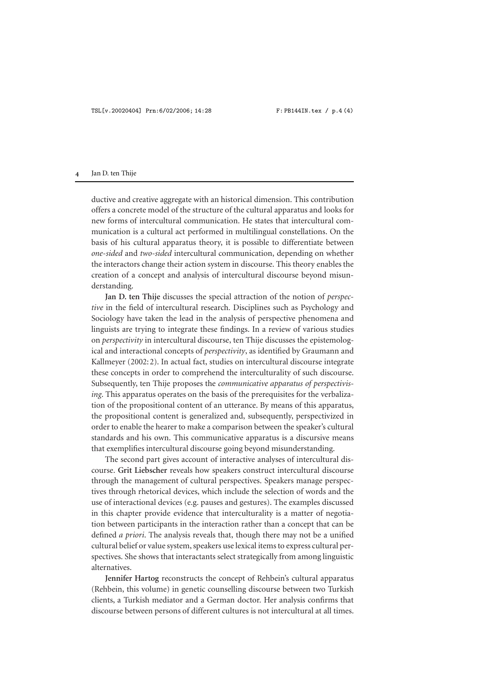ductive and creative aggregate with an historical dimension. This contribution offers a concrete model of the structure of the cultural apparatus and looks for new forms of intercultural communication. He states that intercultural communication is a cultural act performed in multilingual constellations. On the basis of his cultural apparatus theory, it is possible to differentiate between *one-sided* and *two-sided* intercultural communication, depending on whether the interactors change their action system in discourse. This theory enables the creation of a concept and analysis of intercultural discourse beyond misunderstanding.

**Jan D. ten Thije** discusses the special attraction of the notion of *perspective* in the field of intercultural research. Disciplines such as Psychology and Sociology have taken the lead in the analysis of perspective phenomena and linguists are trying to integrate these findings. In a review of various studies on *perspectivity* in intercultural discourse, ten Thije discusses the epistemological and interactional concepts of *perspectivity*, as identified by Graumann and Kallmeyer (2002:2). In actual fact, studies on intercultural discourse integrate these concepts in order to comprehend the interculturality of such discourse. Subsequently, ten Thije proposes the *communicative apparatus of perspectivising*. This apparatus operates on the basis of the prerequisites for the verbalization of the propositional content of an utterance. By means of this apparatus, the propositional content is generalized and, subsequently, perspectivized in order to enable the hearer to make a comparison between the speaker's cultural standards and his own. This communicative apparatus is a discursive means that exemplifies intercultural discourse going beyond misunderstanding.

The second part gives account of interactive analyses of intercultural discourse. **Grit Liebscher** reveals how speakers construct intercultural discourse through the management of cultural perspectives. Speakers manage perspectives through rhetorical devices, which include the selection of words and the use of interactional devices (e.g. pauses and gestures). The examples discussed in this chapter provide evidence that interculturality is a matter of negotiation between participants in the interaction rather than a concept that can be defined *a priori*. The analysis reveals that, though there may not be a unified cultural belief or value system, speakers use lexical items to express cultural perspectives. She shows that interactants select strategically from among linguistic alternatives.

**Jennifer Hartog** reconstructs the concept of Rehbein's cultural apparatus (Rehbein, this volume) in genetic counselling discourse between two Turkish clients, a Turkish mediator and a German doctor. Her analysis confirms that discourse between persons of different cultures is not intercultural at all times.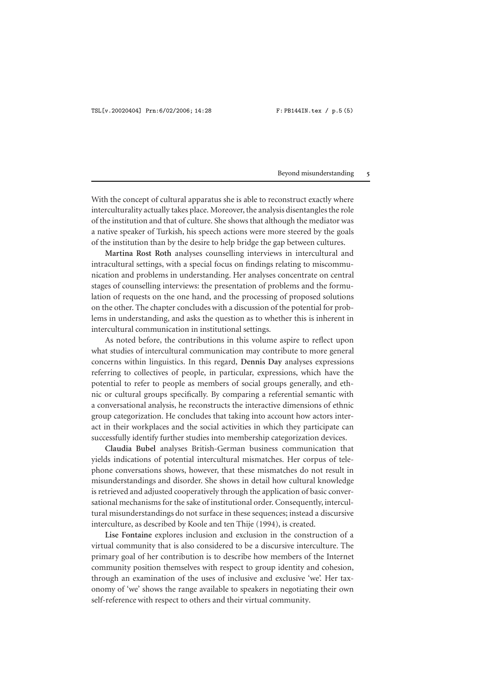With the concept of cultural apparatus she is able to reconstruct exactly where interculturality actually takes place. Moreover, the analysis disentangles the role of the institution and that of culture. She shows that although the mediator was a native speaker of Turkish, his speech actions were more steered by the goals of the institution than by the desire to help bridge the gap between cultures.

**Martina Rost Roth** analyses counselling interviews in intercultural and intracultural settings, with a special focus on findings relating to miscommunication and problems in understanding. Her analyses concentrate on central stages of counselling interviews: the presentation of problems and the formulation of requests on the one hand, and the processing of proposed solutions on the other. The chapter concludes with a discussion of the potential for problems in understanding, and asks the question as to whether this is inherent in intercultural communication in institutional settings.

As noted before, the contributions in this volume aspire to reflect upon what studies of intercultural communication may contribute to more general concerns within linguistics. In this regard, **Dennis Day** analyses expressions referring to collectives of people, in particular, expressions, which have the potential to refer to people as members of social groups generally, and ethnic or cultural groups specifically. By comparing a referential semantic with a conversational analysis, he reconstructs the interactive dimensions of ethnic group categorization. He concludes that taking into account how actors interact in their workplaces and the social activities in which they participate can successfully identify further studies into membership categorization devices.

**Claudia Bubel** analyses British-German business communication that yields indications of potential intercultural mismatches. Her corpus of telephone conversations shows, however, that these mismatches do not result in misunderstandings and disorder. She shows in detail how cultural knowledge is retrieved and adjusted cooperatively through the application of basic conversational mechanisms for the sake of institutional order. Consequently, intercultural misunderstandings do not surface in these sequences; instead a discursive interculture, as described by Koole and ten Thije (1994), is created.

**Lise Fontaine** explores inclusion and exclusion in the construction of a virtual community that is also considered to be a discursive interculture. The primary goal of her contribution is to describe how members of the Internet community position themselves with respect to group identity and cohesion, through an examination of the uses of inclusive and exclusive 'we'. Her taxonomy of 'we' shows the range available to speakers in negotiating their own self-reference with respect to others and their virtual community.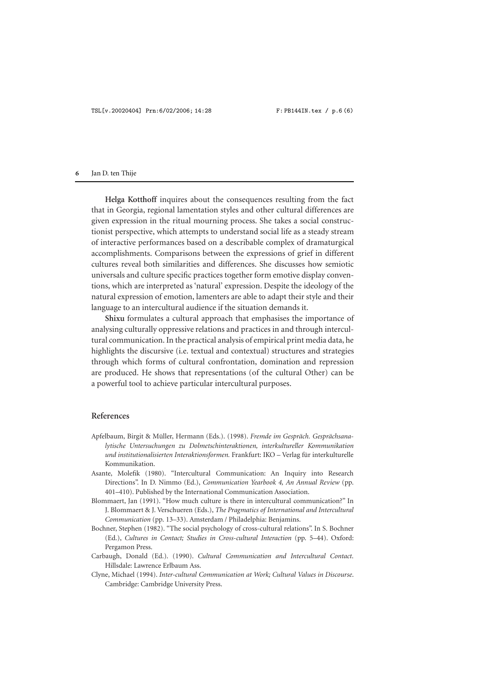**Helga Kotthoff** inquires about the consequences resulting from the fact that in Georgia, regional lamentation styles and other cultural differences are given expression in the ritual mourning process. She takes a social constructionist perspective, which attempts to understand social life as a steady stream of interactive performances based on a describable complex of dramaturgical accomplishments. Comparisons between the expressions of grief in different cultures reveal both similarities and differences. She discusses how semiotic universals and culture specific practices together form emotive display conventions, which are interpreted as 'natural' expression. Despite the ideology of the natural expression of emotion, lamenters are able to adapt their style and their language to an intercultural audience if the situation demands it.

**Shixu** formulates a cultural approach that emphasises the importance of analysing culturally oppressive relations and practices in and through intercultural communication. In the practical analysis of empirical print media data, he highlights the discursive (i.e. textual and contextual) structures and strategies through which forms of cultural confrontation, domination and repression are produced. He shows that representations (of the cultural Other) can be a powerful tool to achieve particular intercultural purposes.

## **References**

- Apfelbaum, Birgit & Müller, Hermann (Eds.). (1998). *Fremde im Gespräch. Gesprächsanalytische Untersuchungen zu Dolmetschinteraktionen, interkultureller Kommunikation und institutionalisierten Interaktionsformen.* Frankfurt: IKO – Verlag für interkulturelle Kommunikation.
- Asante, Molefik (1980). "Intercultural Communication: An Inquiry into Research Directions". In D. Nimmo (Ed.), *Communication Yearbook 4, An Annual Review* (pp. 401–410). Published by the International Communication Association.
- Blommaert, Jan (1991). "How much culture is there in intercultural communication?" In J. Blommaert & J. Verschueren (Eds.), *The Pragmatics of International and Intercultural Communication* (pp. 13–33). Amsterdam / Philadelphia: Benjamins.
- Bochner, Stephen (1982). "The social psychology of cross-cultural relations". In S. Bochner (Ed.), *Cultures in Contact; Studies in Cross-cultural Interaction* (pp. 5–44). Oxford: Pergamon Press.
- Carbaugh, Donald (Ed.). (1990). *Cultural Communication and Intercultural Contact*. Hillsdale: Lawrence Erlbaum Ass.
- Clyne, Michael (1994). *Inter-cultural Communication at Work; Cultural Values in Discourse*. Cambridge: Cambridge University Press.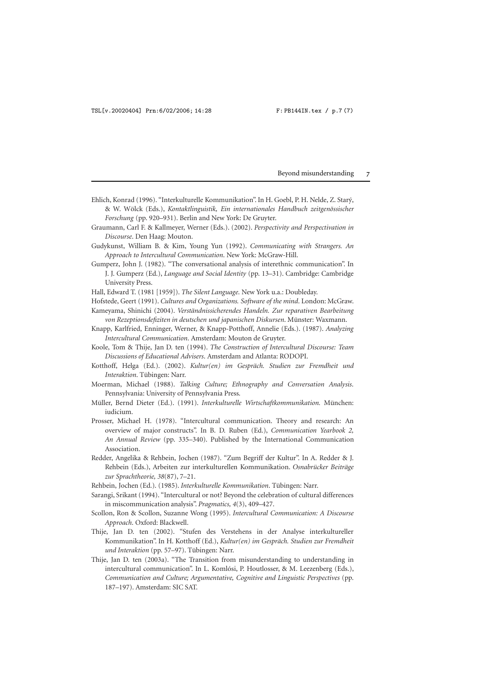- Ehlich, Konrad (1996). "Interkulturelle Kommunikation". In H. Goebl, P. H. Nelde, Z. Starý, & W. Wölck (Eds.), *Kontaktlinguistik, Ein internationales Handbuch zeitgenössischer Forschung* (pp. 920–931). Berlin and New York: De Gruyter.
- Graumann, Carl F. & Kallmeyer, Werner (Eds.). (2002). *Perspectivity and Perspectivation in Discourse*. Den Haag: Mouton.
- Gudykunst, William B. & Kim, Young Yun (1992). *Communicating with Strangers. An Approach to Intercultural Communication*. New York: McGraw-Hill.
- Gumperz, John J. (1982). "The conversational analysis of interethnic communication". In J. J. Gumperz (Ed.), *Language and Social Identity* (pp. 13–31). Cambridge: Cambridge University Press.
- Hall, Edward T. (1981 [1959]). *The Silent Language*. New York u.a.: Doubleday.
- Hofstede, Geert (1991). *Cultures and Organizations. Software of the mind*. London: McGraw.
- Kameyama, Shinichi (2004). *Verständnissicherendes Handeln. Zur reparativen Bearbeitung von Rezeptionsdefiziten in deutschen und japanischen Diskursen*. Münster: Waxmann.
- Knapp, Karlfried, Enninger, Werner, & Knapp-Potthoff, Annelie (Eds.). (1987). *Analyzing Intercultural Communication*. Amsterdam: Mouton de Gruyter.
- Koole, Tom & Thije, Jan D. ten (1994). *The Construction of Intercultural Discourse: Team Discussions of Educational Advisers*. Amsterdam and Atlanta: RODOPI.
- Kotthoff, Helga (Ed.). (2002). *Kultur(en) im Gespräch. Studien zur Fremdheit und Interaktion*. Tübingen: Narr.
- Moerman, Michael (1988). *Talking Culture; Ethnography and Conversation Analysis*. Pennsylvania: University of Pennsylvania Press.
- Müller, Bernd Dieter (Ed.). (1991). *Interkulturelle Wirtschaftkommunikation.* München: iudicium.
- Prosser, Michael H. (1978). "Intercultural communication. Theory and research: An overview of major constructs". In B. D. Ruben (Ed.), *Communication Yearbook 2, An Annual Review* (pp. 335–340). Published by the International Communication Association.
- Redder, Angelika & Rehbein, Jochen (1987). "Zum Begriff der Kultur". In A. Redder & J. Rehbein (Eds.), Arbeiten zur interkulturellen Kommunikation. *Osnabrücker Beiträge zur Sprachtheorie, 38*(87), 7–21.
- Rehbein, Jochen (Ed.). (1985). *Interkulturelle Kommunikation*. Tübingen: Narr.
- Sarangi, Srikant (1994). "Intercultural or not? Beyond the celebration of cultural differences in miscommunication analysis". *Pragmatics, 4*(3), 409–427.
- Scollon, Ron & Scollon, Suzanne Wong (1995). *Intercultural Communication: A Discourse Approach*. Oxford: Blackwell.
- Thije, Jan D. ten (2002). "Stufen des Verstehens in der Analyse interkultureller Kommunikation". In H. Kotthoff (Ed.), *Kultur(en) im Gespräch. Studien zur Fremdheit und Interaktion* (pp. 57–97). Tübingen: Narr.
- Thije, Jan D. ten (2003a). "The Transition from misunderstanding to understanding in intercultural communication". In L. Komlósi, P. Houtlosser, & M. Leezenberg (Eds.), *Communication and Culture; Argumentative, Cognitive and Linguistic Perspectives* (pp. 187–197). Amsterdam: SIC SAT.